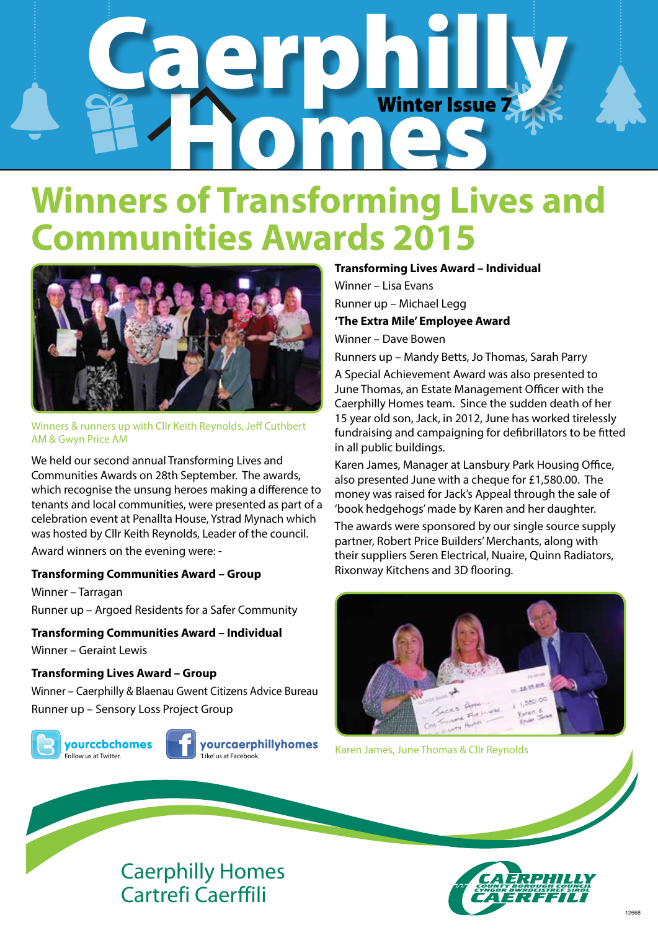# Caerphilly. Winter Issue Winter Issue 7

## **Winners of Transforming Lives and Communities Awards 2015**



Winners & runners up with Cllr Keith Reynolds, Jeff Cuthbert AM & Gwyn Price AM

We held our second annual Transforming Lives and Communities Awards on 28th September. The awards, which recognise the unsung heroes making a difference to tenants and local communities, were presented as part of a celebration event at Penallta House, Ystrad Mynach which was hosted by Cllr Keith Reynolds, Leader of the council.

Award winners on the evening were: -

#### **Transforming Communities Award – Group**

Winner – Tarragan Runner up – Argoed Residents for a Safer Community

**Transforming Communities Award – Individual**

Winner – Geraint Lewis

#### **Transforming Lives Award – Group**

Winner – Caerphilly & Blaenau Gwent Citizens Advice Bureau Runner up – Sensory Loss Project Group

yourccbchomes **.**<br>Follow us at Twitter



yourcaerphillyhomes 'Like' us at Facebook.

**Transforming Lives Award – Individual** Winner – Lisa Evans Runner up – Michael Legg **'The Extra Mile' Employee Award**

Winner – Dave Bowen

Runners up – Mandy Betts, Jo Thomas, Sarah Parry A Special Achievement Award was also presented to June Thomas, an Estate Management Officer with the Caerphilly Homes team. Since the sudden death of her 15 year old son, Jack, in 2012, June has worked tirelessly fundraising and campaigning for defibrillators to be fitted in all public buildings.

Karen James, Manager at Lansbury Park Housing Office, also presented June with a cheque for £1,580.00. The money was raised for Jack's Appeal through the sale of 'book hedgehogs' made by Karen and her daughter.

The awards were sponsored by our single source supply partner, Robert Price Builders' Merchants, along with their suppliers Seren Electrical, Nuaire, Quinn Radiators, Rixonway Kitchens and 3D flooring.



Karen James, June Thomas & Cllr Reynolds



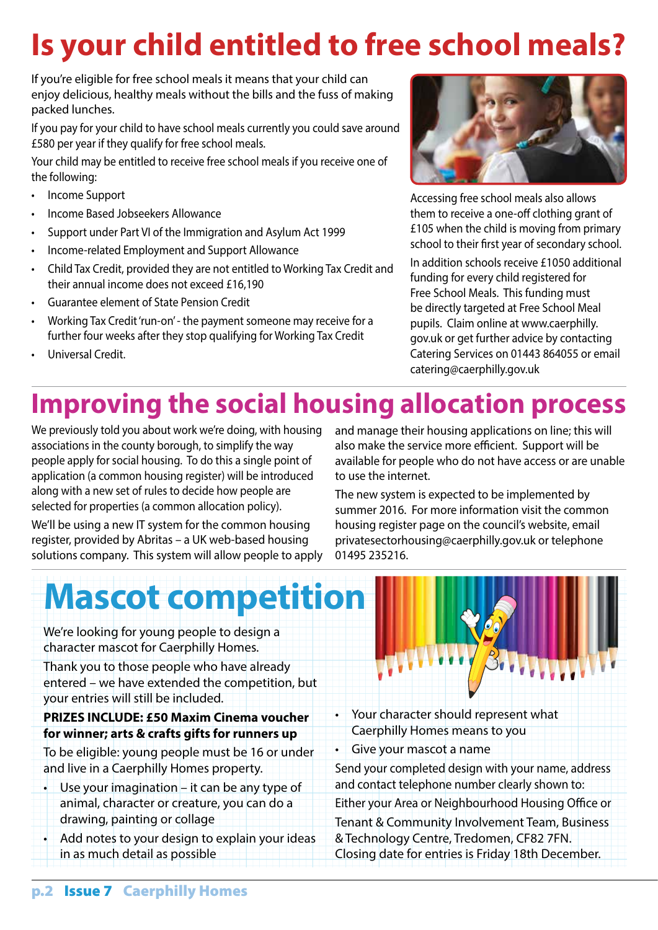### **Is your child entitled to free school meals?**

If you're eligible for free school meals it means that your child can enjoy delicious, healthy meals without the bills and the fuss of making packed lunches.

If you pay for your child to have school meals currently you could save around £580 per year if they qualify for free school meals.

Your child may be entitled to receive free school meals if you receive one of the following:

- • Income Support
- Income Based Jobseekers Allowance
- • Support under Part VI of the Immigration and Asylum Act 1999
- • Income-related Employment and Support Allowance
- Child Tax Credit, provided they are not entitled to Working Tax Credit and their annual income does not exceed £16,190
- Guarantee element of State Pension Credit
- Working Tax Credit 'run-on' the payment someone may receive for a further four weeks after they stop qualifying for Working Tax Credit
- Universal Credit.



Accessing free school meals also allows them to receive a one-off clothing grant of £105 when the child is moving from primary school to their first year of secondary school.

In addition schools receive £1050 additional funding for every child registered for Free School Meals. This funding must be directly targeted at Free School Meal pupils. Claim online at www.caerphilly. gov.uk or get further advice by contacting Catering Services on 01443 864055 or email catering@caerphilly.gov.uk

### **Improving the social housing allocation process**

We previously told you about work we're doing, with housing associations in the county borough, to simplify the way people apply for social housing. To do this a single point of application (a common housing register) will be introduced along with a new set of rules to decide how people are selected for properties (a common allocation policy).

We'll be using a new IT system for the common housing register, provided by Abritas – a UK web-based housing solutions company. This system will allow people to apply and manage their housing applications on line; this will also make the service more efficient. Support will be available for people who do not have access or are unable to use the internet.

The new system is expected to be implemented by summer 2016. For more information visit the common housing register page on the council's website, email privatesectorhousing@caerphilly.gov.uk or telephone 01495 235216.

# **Mascot competition**

We're looking for young people to design a character mascot for Caerphilly Homes.

Thank you to those people who have already entered – we have extended the competition, but your entries will still be included.

#### **PRIZES INCLUDE: £50 Maxim Cinema voucher for winner; arts & crafts gifts for runners up**

To be eligible: young people must be 16 or under and live in a Caerphilly Homes property.

Use your imagination – it can be any type of animal, character or creature, you can do a drawing, painting or collage

Add notes to your design to explain your ideas in as much detail as possible



• Your character should represent what Caerphilly Homes means to you

• Give your mascot a name

Send your completed design with your name, address and contact telephone number clearly shown to:

Either your Area or Neighbourhood Housing Office or

Tenant & Community Involvement Team, Business & Technology Centre, Tredomen, CF82 7FN. Closing date for entries is Friday 18th December.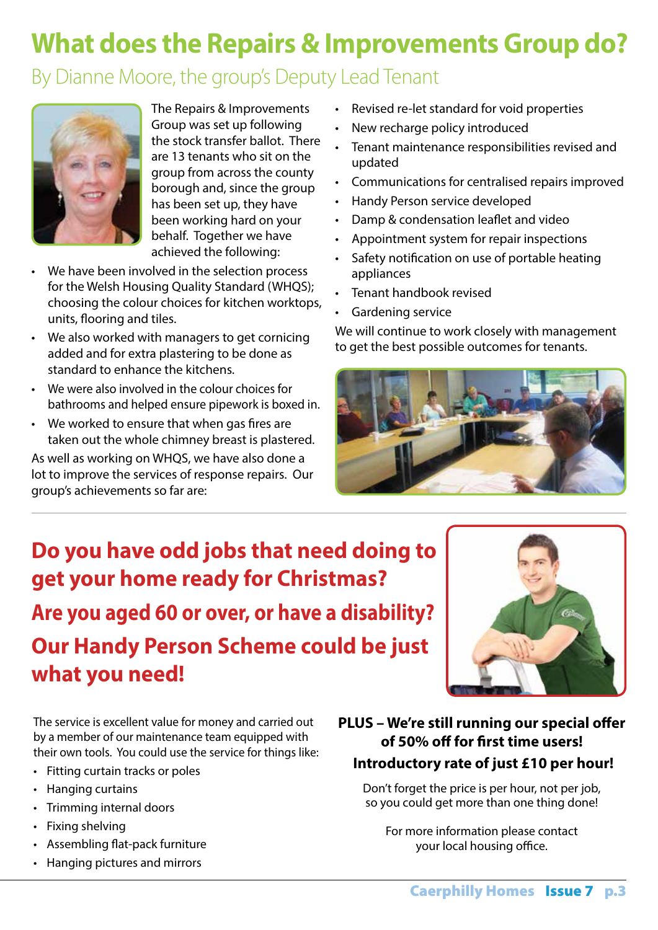### **What does the Repairs & Improvements Group do?**

#### By Dianne Moore, the group's Deputy Lead Tenant



The Repairs & Improvements Group was set up following the stock transfer ballot. There are 13 tenants who sit on the group from across the county borough and, since the group has been set up, they have been working hard on your behalf. Together we have achieved the following:

- We have been involved in the selection process for the Welsh Housing Quality Standard (WHQS); choosing the colour choices for kitchen worktops, units, flooring and tiles.
- We also worked with managers to get cornicing added and for extra plastering to be done as standard to enhance the kitchens.
- • We were also involved in the colour choices for bathrooms and helped ensure pipework is boxed in.
- • We worked to ensure that when gas fires are taken out the whole chimney breast is plastered.

As well as working on WHQS, we have also done a lot to improve the services of response repairs. Our group's achievements so far are:

- • Revised re-let standard for void properties
- New recharge policy introduced
- Tenant maintenance responsibilities revised and updated
- • Communications for centralised repairs improved
- • Handy Person service developed
- Damp & condensation leaflet and video
- Appointment system for repair inspections
- Safety notification on use of portable heating appliances
- • Tenant handbook revised
- Gardening service

We will continue to work closely with management to get the best possible outcomes for tenants.



### **Do you have odd jobs that need doing to get your home ready for Christmas? Are you aged 60 or over, or have a disability? Our Handy Person Scheme could be just what you need!**



The service is excellent value for money and carried out by a member of our maintenance team equipped with their own tools. You could use the service for things like:

- • Fitting curtain tracks or poles
- • Hanging curtains
- • Trimming internal doors
- Fixing shelving
- • Assembling flat-pack furniture
- • Hanging pictures and mirrors

#### **PLUS – We're still running our special offer of 50% off for first time users! Introductory rate of just £10 per hour!**

Don't forget the price is per hour, not per job, so you could get more than one thing done!

For more information please contact your local housing office.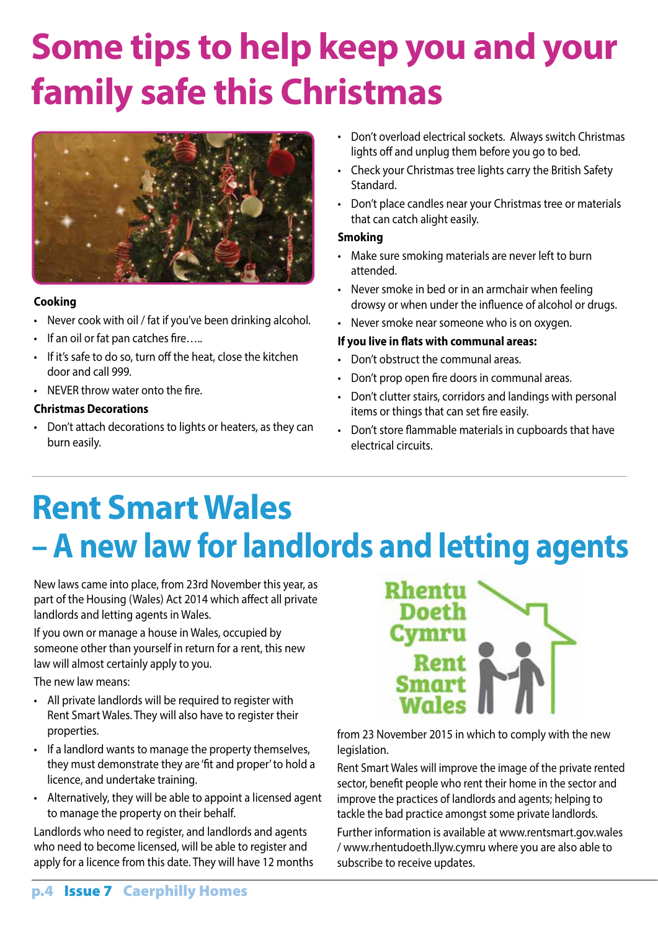# **Some tips to help keep you and your family safe this Christmas**



#### **Cooking**

- Never cook with oil / fat if you've been drinking alcohol.
- If an oil or fat pan catches fire…..
- If it's safe to do so, turn off the heat, close the kitchen door and call 999.
- NEVER throw water onto the fire.

#### **Christmas Decorations**

• Don't attach decorations to lights or heaters, as they can burn easily.

- Don't overload electrical sockets. Always switch Christmas lights off and unplug them before you go to bed.
- Check your Christmas tree lights carry the British Safety Standard.
- Don't place candles near your Christmas tree or materials that can catch alight easily.

#### **Smoking**

- Make sure smoking materials are never left to burn attended.
- Never smoke in bed or in an armchair when feeling drowsy or when under the influence of alcohol or drugs.
- Never smoke near someone who is on oxygen.

#### **If you live in flats with communal areas:**

- • Don't obstruct the communal areas.
- Don't prop open fire doors in communal areas.
- Don't clutter stairs, corridors and landings with personal items or things that can set fire easily.
- • Don't store flammable materials in cupboards that have electrical circuits.

### **Rent Smart Wales – A new law for landlords and letting agents**

New laws came into place, from 23rd November this year, as part of the Housing (Wales) Act 2014 which affect all private landlords and letting agents in Wales.

If you own or manage a house in Wales, occupied by someone other than yourself in return for a rent, this new law will almost certainly apply to you.

The new law means:

- All private landlords will be required to register with Rent Smart Wales. They will also have to register their properties.
- If a landlord wants to manage the property themselves, they must demonstrate they are 'fit and proper' to hold a licence, and undertake training.
- Alternatively, they will be able to appoint a licensed agent to manage the property on their behalf.

Landlords who need to register, and landlords and agents who need to become licensed, will be able to register and apply for a licence from this date. They will have 12 months



from 23 November 2015 in which to comply with the new legislation.

Rent Smart Wales will improve the image of the private rented sector, benefit people who rent their home in the sector and improve the practices of landlords and agents; helping to tackle the bad practice amongst some private landlords.

Further information is available at www.rentsmart.gov.wales / www.rhentudoeth.llyw.cymru where you are also able to subscribe to receive updates.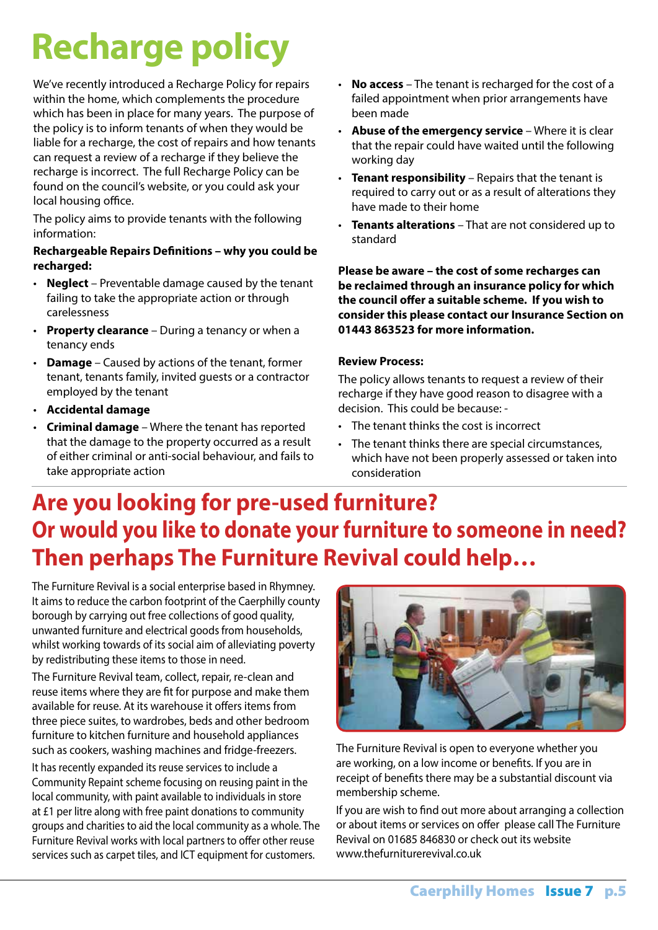# **Recharge policy**

We've recently introduced a Recharge Policy for repairs within the home, which complements the procedure which has been in place for many years. The purpose of the policy is to inform tenants of when they would be liable for a recharge, the cost of repairs and how tenants can request a review of a recharge if they believe the recharge is incorrect. The full Recharge Policy can be found on the council's website, or you could ask your local housing office.

The policy aims to provide tenants with the following information:

#### **Rechargeable Repairs Definitions – why you could be recharged:**

- **Neglect** Preventable damage caused by the tenant failing to take the appropriate action or through carelessness
- **Property clearance** During a tenancy or when a tenancy ends
- • **Damage** Caused by actions of the tenant, former tenant, tenants family, invited guests or a contractor employed by the tenant
- • **Accidental damage**
- • **Criminal damage** Where the tenant has reported that the damage to the property occurred as a result of either criminal or anti-social behaviour, and fails to take appropriate action
- • **No access** The tenant is recharged for the cost of a failed appointment when prior arrangements have been made
- • **Abuse of the emergency service** Where it is clear that the repair could have waited until the following working day
- • **Tenant responsibility** Repairs that the tenant is required to carry out or as a result of alterations they have made to their home
- • **Tenants alterations** That are not considered up to standard

**Please be aware – the cost of some recharges can be reclaimed through an insurance policy for which the council offer a suitable scheme. If you wish to consider this please contact our Insurance Section on 01443 863523 for more information.**

#### **Review Process:**

The policy allows tenants to request a review of their recharge if they have good reason to disagree with a decision. This could be because: -

- • The tenant thinks the cost is incorrect
- The tenant thinks there are special circumstances, which have not been properly assessed or taken into consideration

### **Are you looking for pre-used furniture? Or would you like to donate your furniture to someone in need? Then perhaps The Furniture Revival could help…**

The Furniture Revival is a social enterprise based in Rhymney. It aims to reduce the carbon footprint of the Caerphilly county borough by carrying out free collections of good quality, unwanted furniture and electrical goods from households, whilst working towards of its social aim of alleviating poverty by redistributing these items to those in need.

The Furniture Revival team, collect, repair, re-clean and reuse items where they are fit for purpose and make them available for reuse. At its warehouse it offers items from three piece suites, to wardrobes, beds and other bedroom furniture to kitchen furniture and household appliances such as cookers, washing machines and fridge-freezers.

It has recently expanded its reuse services to include a Community Repaint scheme focusing on reusing paint in the local community, with paint available to individuals in store at £1 per litre along with free paint donations to community groups and charities to aid the local community as a whole. The Furniture Revival works with local partners to offer other reuse services such as carpet tiles, and ICT equipment for customers.



The Furniture Revival is open to everyone whether you are working, on a low income or benefits. If you are in receipt of benefits there may be a substantial discount via membership scheme.

If you are wish to find out more about arranging a collection or about items or services on offer please call The Furniture Revival on 01685 846830 or check out its website www.thefurniturerevival.co.uk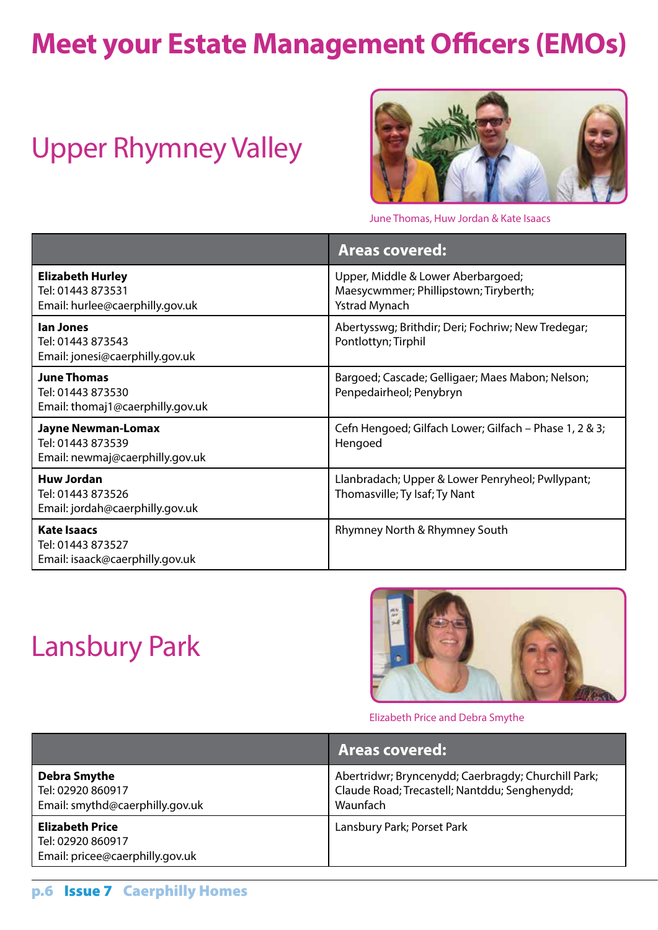### **Meet your Estate Management Officers (EMOs)**

### Upper Rhymney Valley



June Thomas, Huw Jordan & Kate Isaacs

|                                                                                   | <b>Areas covered:</b>                                                                               |
|-----------------------------------------------------------------------------------|-----------------------------------------------------------------------------------------------------|
| <b>Elizabeth Hurley</b><br>Tel: 01443 873531<br>Email: hurlee@caerphilly.gov.uk   | Upper, Middle & Lower Aberbargoed;<br>Maesycwmmer; Phillipstown; Tiryberth;<br><b>Ystrad Mynach</b> |
| lan Jones<br>Tel: 01443 873543<br>Email: jonesi@caerphilly.gov.uk                 | Abertysswg; Brithdir; Deri; Fochriw; New Tredegar;<br>Pontlottyn; Tirphil                           |
| <b>June Thomas</b><br>Tel: 01443 873530<br>Email: thomaj1@caerphilly.gov.uk       | Bargoed; Cascade; Gelligaer; Maes Mabon; Nelson;<br>Penpedairheol; Penybryn                         |
| <b>Jayne Newman-Lomax</b><br>Tel: 01443 873539<br>Email: newmaj@caerphilly.gov.uk | Cefn Hengoed; Gilfach Lower; Gilfach - Phase 1, 2 & 3;<br>Hengoed                                   |
| <b>Huw Jordan</b><br>Tel: 01443 873526<br>Email: jordah@caerphilly.gov.uk         | Llanbradach; Upper & Lower Penryheol; Pwllypant;<br>Thomasville; Ty Isaf; Ty Nant                   |
| <b>Kate Isaacs</b><br>Tel: 01443 873527<br>Email: isaack@caerphilly.gov.uk        | Rhymney North & Rhymney South                                                                       |

### Lansbury Park



Elizabeth Price and Debra Smythe

|                                                                                | Areas covered:                                                                                                   |
|--------------------------------------------------------------------------------|------------------------------------------------------------------------------------------------------------------|
| <b>Debra Smythe</b><br>Tel: 02920 860917<br>Email: smythd@caerphilly.gov.uk    | Abertridwr; Bryncenydd; Caerbragdy; Churchill Park;<br>Claude Road; Trecastell; Nantddu; Senghenydd;<br>Waunfach |
| <b>Elizabeth Price</b><br>Tel: 02920 860917<br>Email: pricee@caerphilly.gov.uk | Lansbury Park; Porset Park                                                                                       |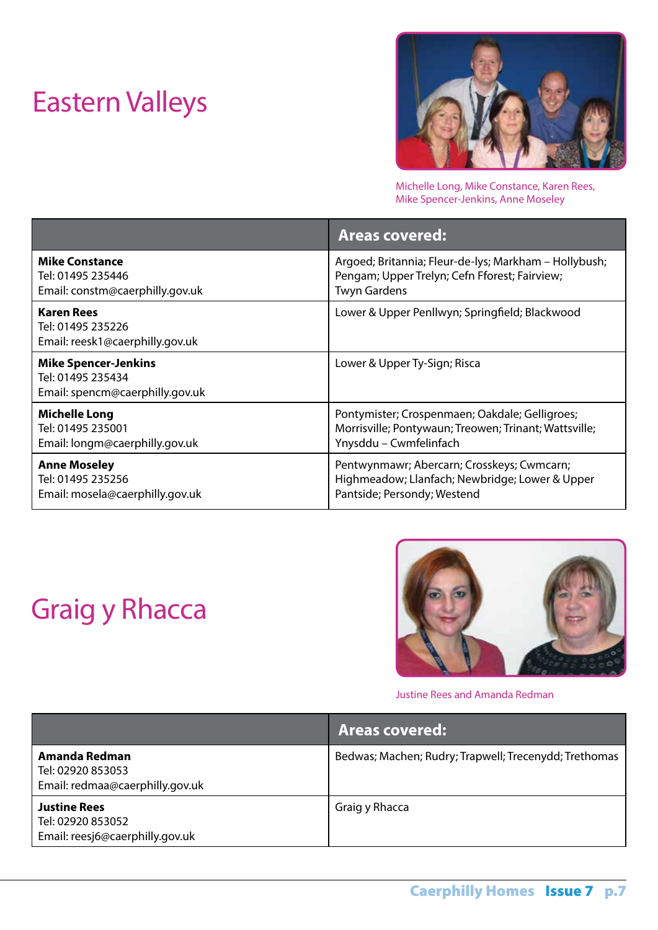### Eastern Valleys



Michelle Long, Mike Constance, Karen Rees, Mike Spencer-Jenkins, Anne Moseley

|                                                                                     | <b>Areas covered:</b>                                 |
|-------------------------------------------------------------------------------------|-------------------------------------------------------|
| <b>Mike Constance</b>                                                               | Argoed; Britannia; Fleur-de-lys; Markham - Hollybush; |
| Tel: 01495 235446                                                                   | Pengam; Upper Trelyn; Cefn Fforest; Fairview;         |
| Email: constm@caerphilly.gov.uk                                                     | <b>Twyn Gardens</b>                                   |
| <b>Karen Rees</b><br>Tel: 01495 235226<br>Email: reesk1@caerphilly.gov.uk           | Lower & Upper Penllwyn; Springfield; Blackwood        |
| <b>Mike Spencer-Jenkins</b><br>Tel: 01495 235434<br>Email: spencm@caerphilly.gov.uk | Lower & Upper Ty-Sign; Risca                          |
| <b>Michelle Long</b>                                                                | Pontymister; Crospenmaen; Oakdale; Gelligroes;        |
| Tel: 01495 235001                                                                   | Morrisville; Pontywaun; Treowen; Trinant; Wattsville; |
| Email: longm@caerphilly.gov.uk                                                      | Ynysddu - Cwmfelinfach                                |
| <b>Anne Moseley</b>                                                                 | Pentwynmawr; Abercarn; Crosskeys; Cwmcarn;            |
| Tel: 01495 235256                                                                   | Highmeadow; Llanfach; Newbridge; Lower & Upper        |
| Email: mosela@caerphilly.gov.uk                                                     | Pantside; Persondy; Westend                           |

### Graig y Rhacca



Justine Rees and Amanda Redman

|                                                                             | <b>Areas covered:</b>                                 |
|-----------------------------------------------------------------------------|-------------------------------------------------------|
| Amanda Redman<br>Tel: 02920 853053<br>Email: redmaa@caerphilly.gov.uk       | Bedwas; Machen; Rudry; Trapwell; Trecenydd; Trethomas |
| <b>Justine Rees</b><br>Tel: 02920 853052<br>Email: reesj6@caerphilly.gov.uk | Graig y Rhacca                                        |